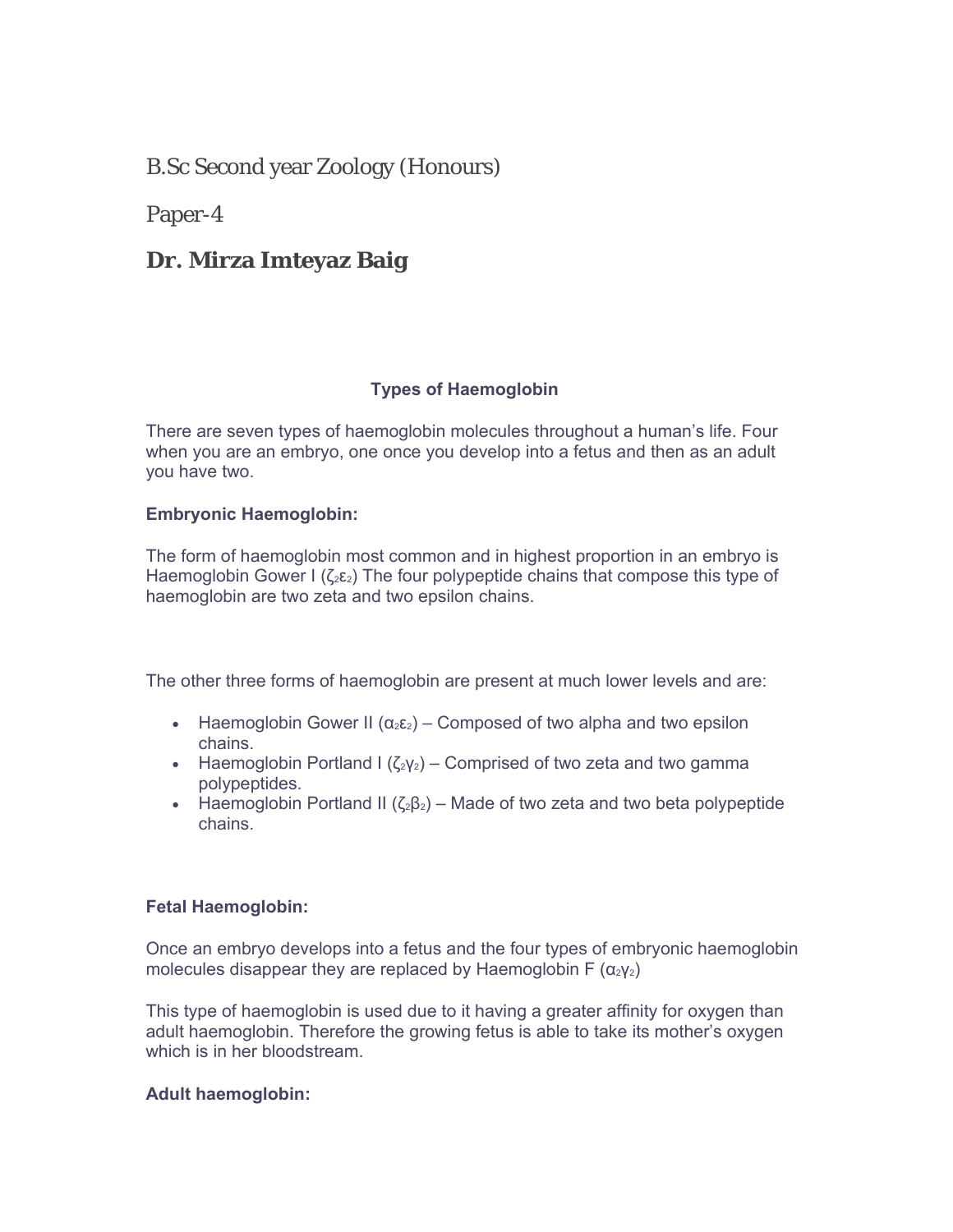B.Sc Second year Zoology (Honours)

Paper-4

# **Dr. Mirza Imteyaz Baig**

## **Types of Haemoglobin**

There are seven types of haemoglobin molecules throughout a human's life. Four when you are an embryo, one once you develop into a fetus and then as an adult you have two.

### **Embryonic Haemoglobin:**

The form of haemoglobin most common and in highest proportion in an embryo is Haemoglobin Gower I ( $\zeta_2 \varepsilon_2$ ) The four polypeptide chains that compose this type of haemoglobin are two zeta and two epsilon chains.

The other three forms of haemoglobin are present at much lower levels and are:

- Haemoglobin Gower II ( $\alpha_2 \epsilon_2$ ) Composed of two alpha and two epsilon chains.
- Haemoglobin Portland I ( $\zeta_2 y_2$ ) Comprised of two zeta and two gamma polypeptides.
- Haemoglobin Portland II ( $\zeta_2\zeta_2$ ) Made of two zeta and two beta polypeptide chains.

### **Fetal Haemoglobin:**

Once an embryo develops into a fetus and the four types of embryonic haemoglobin molecules disappear they are replaced by Haemoglobin F  $(\alpha_2 \gamma_2)$ 

This type of haemoglobin is used due to it having a greater affinity for oxygen than adult haemoglobin. Therefore the growing fetus is able to take its mother's oxygen which is in her bloodstream.

## **Adult haemoglobin:**